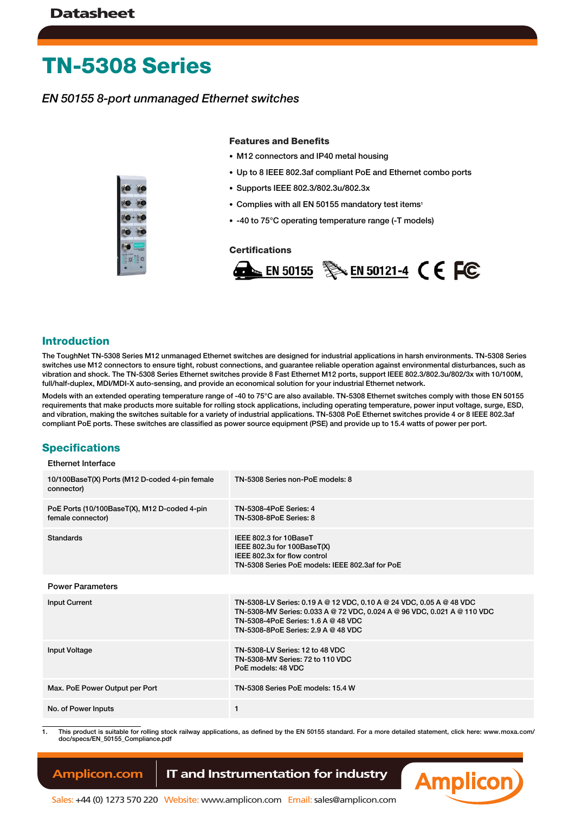# **TN-5308 Series**

## *EN 50155 8-port unmanaged Ethernet switches*



#### **Features and Benefits**

- M12 connectors and IP40 metal housing
- Up to 8 IEEE 802.3af compliant PoE and Ethernet combo ports
- Supports IEEE 802.3/802.3u/802.3x
- Complies with all EN 50155 mandatory test items<sup>1</sup>
- -40 to 75°C operating temperature range (-T models)

#### **Certifications**



#### **Introduction**

The ToughNet TN-5308 Series M12 unmanaged Ethernet switches are designed for industrial applications in harsh environments. TN-5308 Series switches use M12 connectors to ensure tight, robust connections, and guarantee reliable operation against environmental disturbances, such as vibration and shock. The TN-5308 Series Ethernet switches provide 8 Fast Ethernet M12 ports, support IEEE 802.3/802.3u/802/3x with 10/100M, full/half-duplex, MDI/MDI-X auto-sensing, and provide an economical solution for your industrial Ethernet network.

Models with an extended operating temperature range of -40 to 75°C are also available. TN-5308 Ethernet switches comply with those EN 50155 requirements that make products more suitable for rolling stock applications, including operating temperature, power input voltage, surge, ESD, and vibration, making the switches suitable for a variety of industrial applications. TN-5308 PoE Ethernet switches provide 4 or 8 IEEE 802.3af compliant PoE ports. These switches are classified as power source equipment (PSE) and provide up to 15.4 watts of power per port.

## **Specifications**

#### Ethernet Interface

| 10/100BaseT(X) Ports (M12 D-coded 4-pin female<br>connector)      | TN-5308 Series non-PoE models: 8                                                                                                                                                                                                 |
|-------------------------------------------------------------------|----------------------------------------------------------------------------------------------------------------------------------------------------------------------------------------------------------------------------------|
| PoE Ports (10/100BaseT(X), M12 D-coded 4-pin<br>female connector) | <b>TN-5308-4PoE Series: 4</b><br><b>TN-5308-8PoE Series: 8</b>                                                                                                                                                                   |
| Standards                                                         | IEEE 802.3 for 10BaseT<br>IEEE 802.3u for $100BaseT(X)$<br>IEEE 802.3x for flow control<br>TN-5308 Series PoE models: IEEE 802.3af for PoE                                                                                       |
| <b>Power Parameters</b>                                           |                                                                                                                                                                                                                                  |
| <b>Input Current</b>                                              | TN-5308-LV Series: 0.19 A @ 12 VDC, 0.10 A @ 24 VDC, 0.05 A @ 48 VDC<br>TN-5308-MV Series: 0.033 A @ 72 VDC, 0.024 A @ 96 VDC, 0.021 A @ 110 VDC<br>TN-5308-4PoE Series: $1.6$ A @ 48 VDC<br>TN-5308-8PoE Series: 2.9 A @ 48 VDC |
| Input Voltage                                                     | TN-5308-LV Series: 12 to 48 VDC<br>TN-5308-MV Series: 72 to 110 VDC<br>PoE models: 48 VDC                                                                                                                                        |
| Max. PoE Power Output per Port                                    | TN-5308 Series PoE models: 15.4 W                                                                                                                                                                                                |
| No. of Power Inputs                                               | 1                                                                                                                                                                                                                                |

1. This product is suitable for rolling stock railway applications, as defined by the EN 50155 standard. For a more detailed statement, click here: www.moxa.com/ doc/specs/EN\_50155\_Compliance.pdf

## **Amplicon.com | IT and Instrumentation for industry**

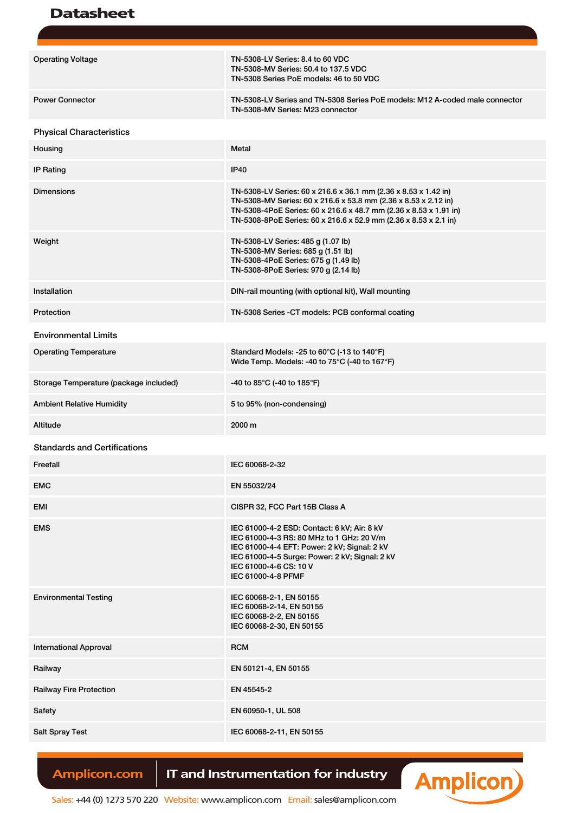## Datasheet

| <b>Operating Voltage</b>               | TN-5308-LV Series: 8.4 to 60 VDC<br>TN-5308-MV Series: 50.4 to 137.5 VDC<br>TN-5308 Series PoE models: 46 to 50 VDC                                                                                                                                                         |
|----------------------------------------|-----------------------------------------------------------------------------------------------------------------------------------------------------------------------------------------------------------------------------------------------------------------------------|
| <b>Power Connector</b>                 | TN-5308-LV Series and TN-5308 Series PoE models: M12 A-coded male connector<br>TN-5308-MV Series: M23 connector                                                                                                                                                             |
| <b>Physical Characteristics</b>        |                                                                                                                                                                                                                                                                             |
| Housing                                | Metal                                                                                                                                                                                                                                                                       |
| <b>IP Rating</b>                       | <b>IP40</b>                                                                                                                                                                                                                                                                 |
| <b>Dimensions</b>                      | TN-5308-LV Series: 60 x 216.6 x 36.1 mm (2.36 x 8.53 x 1.42 in)<br>TN-5308-MV Series: 60 x 216.6 x 53.8 mm (2.36 x 8.53 x 2.12 in)<br>TN-5308-4PoE Series: 60 x 216.6 x 48.7 mm (2.36 x 8.53 x 1.91 in)<br>TN-5308-8PoE Series: 60 x 216.6 x 52.9 mm (2.36 x 8.53 x 2.1 in) |
| Weight                                 | TN-5308-LV Series: 485 g (1.07 lb)<br>TN-5308-MV Series: 685 g (1.51 lb)<br>TN-5308-4PoE Series: 675 g (1.49 lb)<br>TN-5308-8PoE Series: 970 g (2.14 lb)                                                                                                                    |
| Installation                           | DIN-rail mounting (with optional kit), Wall mounting                                                                                                                                                                                                                        |
| Protection                             | TN-5308 Series -CT models: PCB conformal coating                                                                                                                                                                                                                            |
| <b>Environmental Limits</b>            |                                                                                                                                                                                                                                                                             |
| <b>Operating Temperature</b>           | Standard Models: -25 to 60°C (-13 to 140°F)<br>Wide Temp. Models: -40 to 75°C (-40 to 167°F)                                                                                                                                                                                |
| Storage Temperature (package included) | -40 to 85°C (-40 to 185°F)                                                                                                                                                                                                                                                  |
| <b>Ambient Relative Humidity</b>       | 5 to 95% (non-condensing)                                                                                                                                                                                                                                                   |
| Altitude                               | 2000 m                                                                                                                                                                                                                                                                      |
| <b>Standards and Certifications</b>    |                                                                                                                                                                                                                                                                             |
| Freefall                               | IEC 60068-2-32                                                                                                                                                                                                                                                              |
| <b>EMC</b>                             | EN 55032/24                                                                                                                                                                                                                                                                 |
| EMI                                    | CISPR 32, FCC Part 15B Class A                                                                                                                                                                                                                                              |
| <b>EMS</b>                             | IEC 61000-4-2 ESD: Contact: 6 kV; Air: 8 kV<br>IEC 61000-4-3 RS: 80 MHz to 1 GHz: 20 V/m<br>IEC 61000-4-4 EFT: Power: 2 kV; Signal: 2 kV<br>IEC 61000-4-5 Surge: Power: 2 kV; Signal: 2 kV<br>IEC 61000-4-6 CS: 10 V<br>IEC 61000-4-8 PFMF                                  |
| <b>Environmental Testing</b>           | IEC 60068-2-1, EN 50155<br>IEC 60068-2-14, EN 50155<br>IEC 60068-2-2, EN 50155<br>IEC 60068-2-30, EN 50155                                                                                                                                                                  |
| <b>International Approval</b>          | <b>RCM</b>                                                                                                                                                                                                                                                                  |
| Railway                                | EN 50121-4, EN 50155                                                                                                                                                                                                                                                        |
| <b>Railway Fire Protection</b>         | EN 45545-2                                                                                                                                                                                                                                                                  |
| <b>Safety</b>                          | EN 60950-1, UL 508                                                                                                                                                                                                                                                          |
| <b>Salt Spray Test</b>                 | IEC 60068-2-11, EN 50155                                                                                                                                                                                                                                                    |
|                                        |                                                                                                                                                                                                                                                                             |

## Amplicon.com | IT and Instrumentation for industry



Sales: +44 (0) 1273 570 220 Website: www.amplicon.com Email: sales@amplicon.com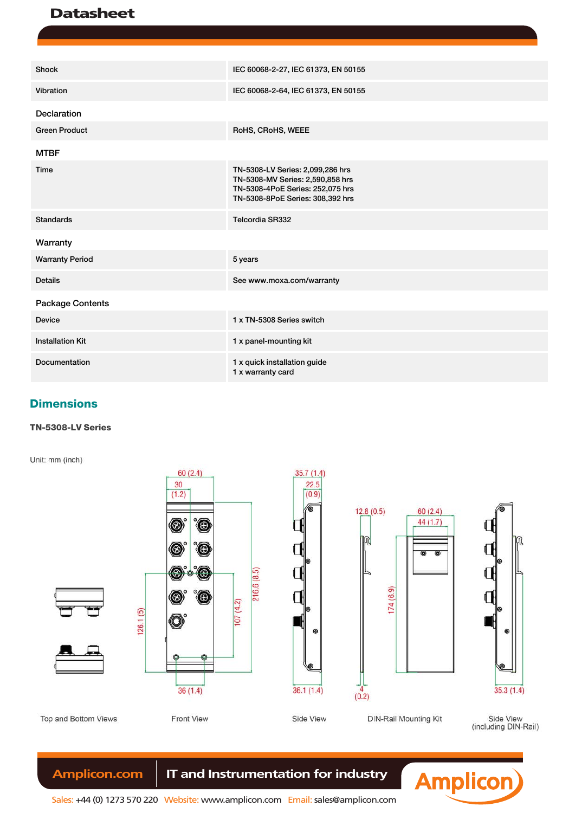## **Datasheet**

| Shock                   | IEC 60068-2-27, IEC 61373, EN 50155                                                                                                          |
|-------------------------|----------------------------------------------------------------------------------------------------------------------------------------------|
| Vibration               | IEC 60068-2-64, IEC 61373, EN 50155                                                                                                          |
| Declaration             |                                                                                                                                              |
| <b>Green Product</b>    | RoHS, CRoHS, WEEE                                                                                                                            |
| <b>MTBF</b>             |                                                                                                                                              |
| Time                    | TN-5308-LV Series: 2,099,286 hrs<br>TN-5308-MV Series: 2,590,858 hrs<br>TN-5308-4PoE Series: 252,075 hrs<br>TN-5308-8PoE Series: 308,392 hrs |
| <b>Standards</b>        | Telcordia SR332                                                                                                                              |
| Warranty                |                                                                                                                                              |
| <b>Warranty Period</b>  | 5 years                                                                                                                                      |
| <b>Details</b>          | See www.moxa.com/warranty                                                                                                                    |
| Package Contents        |                                                                                                                                              |
| <b>Device</b>           | 1 x TN-5308 Series switch                                                                                                                    |
| <b>Installation Kit</b> | 1 x panel-mounting kit                                                                                                                       |
| Documentation           | 1 x quick installation guide<br>1 x warranty card                                                                                            |

## **Dimensions**

## **TN-5308-LV Series**

Unit: mm (inch)









**DIN-Rail Mounting Kit** 

Side View<br>(including DIN-Rail)



## Amplicon.com | IT and Instrumentation for industry

Top and Bottom Views

Sales: +44 (0) 1273 570 220 Website: www.amplicon.com Email: sales@amplicon.com

Front View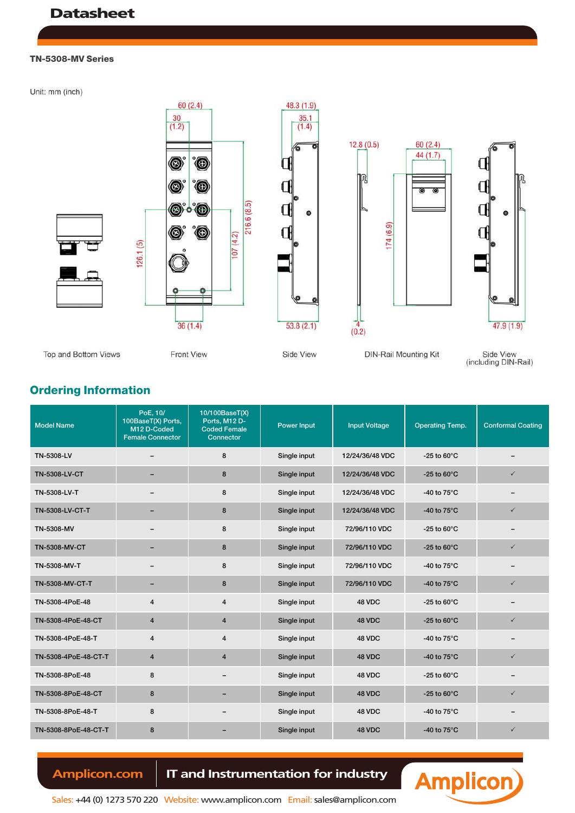#### **TN-5308-MV Series**

Unit: mm (inch)





Side View<br>(including DIN-Rail)

**Ordering Information**

Model Name PoE, 10/ 100BaseT(X) Ports, M12 D-Coded Female Connector 10/100BaseT(X) Ports, M12 D-Coded Female **Connector** Power Input | Input Voltage | Operating Temp. | Conformal Coating TN-5308-LV – 8 Single input 12/24/36/48 VDC -25 to 60°C – TN-5308-LV-CT – 8 Single input 12/24/36/48 VDC -25 to 60°C ✓ TN-5308-LV-T – 8 Single input 12/24/36/48 VDC -40 to 75°C – TN-5308-LV-CT-T – – 8 Single input 12/24/36/48 VDC -40 to 75°C √ TN-5308-MV – 8 Single input 72/96/110 VDC -25 to 60°C – TN-5308-MV-CT – 8 Single input 72/96/110 VDC -25 to 60°C ✓ TN-5308-MV-T – – 8 Single input 72/96/110 VDC -40 to 75°C – – TN-5308-MV-CT-T – – 8 Single input 72/96/110 VDC -40 to 75°C √ TN-5308-4PoE-48 4 4 4 Single input 48 VDC -25 to 60°C – 4 TN-5308-4PoE-48-CT  $\begin{array}{cccc} 4 & 4 & 4 \end{array}$  Single input  $\begin{array}{cccc} 4 & 8 \end{array}$   $\begin{array}{cccc} 4 & 25 \end{array}$   $\begin{array}{cccc} -25 \end{array}$   $\begin{array}{cccc} -25 \end{array}$ TN-5308-4PoE-48-T 4 4 4 Single input 48 VDC -40 to 75°C TN-5308-4PoE-48-CT-T  $\begin{array}{|c|c|c|c|c|}\n\hline\n\end{array}$  4  $\begin{array}{|c|c|c|c|}\n\hline\n\end{array}$  Single input  $\begin{array}{|c|c|c|}\n\hline\n\end{array}$  48 VDC -40 to 75°C  $\begin{array}{|c|c|c|}\n\hline\n\end{array}$ TN-5308-8PoE-48  $\overline{8}$  8 – Single input 48 VDC -25 to 60 °C TN-5308-8PoE-48-CT 8 – Single input 48 VDC -25 to 60°C ✓ TN-5308-8PoE-48-T 8 – Single input 48 VDC -40 to 75°C – – TN-5308-8PoE-48-CT-T 8 – Single input 48 VDC -40 to 75°C ✓

 **Amplicon.com IT and Instrumentation for industry**